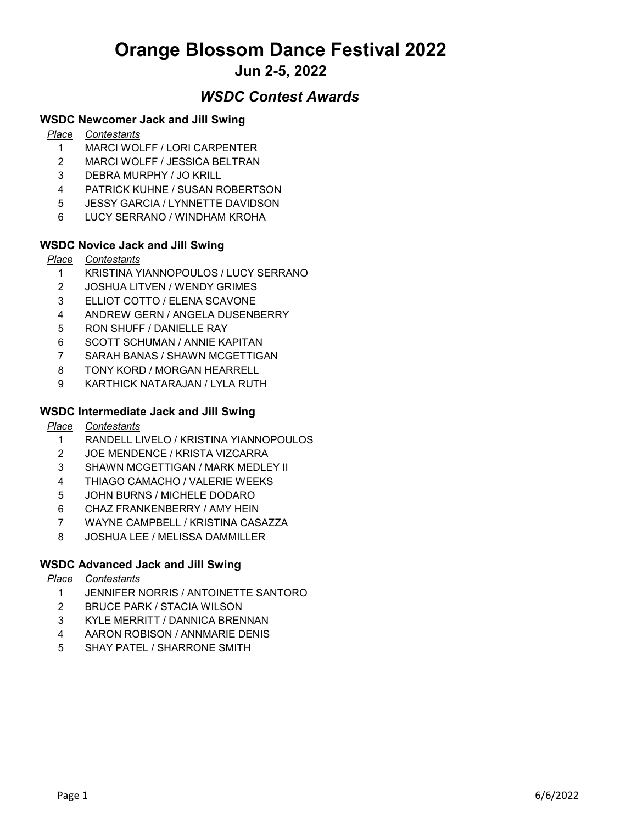# Orange Blossom Dance Festival 2022

## Jun 2-5, 2022

### WSDC Contest Awards

#### WSDC Newcomer Jack and Jill Swing

#### Place Contestants

- 1 MARCI WOLFF / LORI CARPENTER
- 2 MARCI WOLFF / JESSICA BELTRAN
- 3 DEBRA MURPHY / JO KRILL
- 4 PATRICK KUHNE / SUSAN ROBERTSON
- 5 JESSY GARCIA / LYNNETTE DAVIDSON
- 6 LUCY SERRANO / WINDHAM KROHA

#### WSDC Novice Jack and Jill Swing

#### Place Contestants

- 1 KRISTINA YIANNOPOULOS / LUCY SERRANO
- 2 JOSHUA LITVEN / WENDY GRIMES
- 3 ELLIOT COTTO / ELENA SCAVONE
- 4 ANDREW GERN / ANGELA DUSENBERRY
- 5 RON SHUFF / DANIELLE RAY
- 6 SCOTT SCHUMAN / ANNIE KAPITAN
- 7 SARAH BANAS / SHAWN MCGETTIGAN
- 8 TONY KORD / MORGAN HEARRELL
- 9 KARTHICK NATARAJAN / LYLA RUTH

#### WSDC Intermediate Jack and Jill Swing

- Place Contestants
	- 1 RANDELL LIVELO / KRISTINA YIANNOPOULOS
	- 2 JOE MENDENCE / KRISTA VIZCARRA
	- 3 SHAWN MCGETTIGAN / MARK MEDLEY II
	- 4 THIAGO CAMACHO / VALERIE WEEKS
	- 5 JOHN BURNS / MICHELE DODARO
	- 6 CHAZ FRANKENBERRY / AMY HEIN
	- 7 WAYNE CAMPBELL / KRISTINA CASAZZA
	- 8 JOSHUA LEE / MELISSA DAMMILLER

#### WSDC Advanced Jack and Jill Swing

#### Place Contestants

- 1 JENNIFER NORRIS / ANTOINETTE SANTORO
- 2 BRUCE PARK / STACIA WILSON
- 3 KYLE MERRITT / DANNICA BRENNAN
- 4 AARON ROBISON / ANNMARIE DENIS
- 5 SHAY PATEL / SHARRONE SMITH